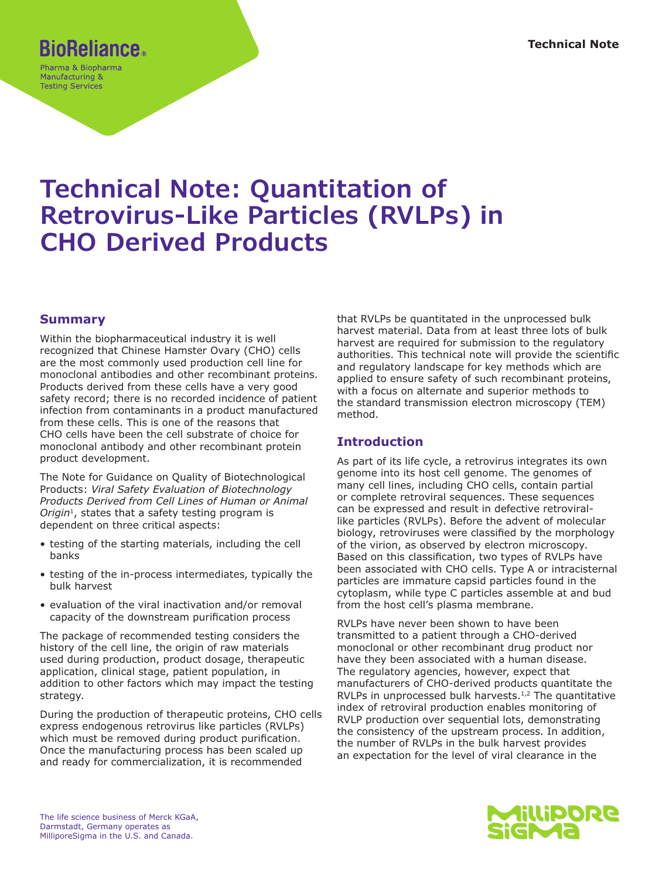# **BioReliance.**

Pharma & Biopharma Manufacturing & **Testing Services** 

# **Technical Note: Quantitation of Retrovirus-Like Particles (RVLPs) in CHO Derived Products**

## **Summary**

Within the biopharmaceutical industry it is well recognized that Chinese Hamster Ovary (CHO) cells are the most commonly used production cell line for monoclonal antibodies and other recombinant proteins. Products derived from these cells have a very good safety record; there is no recorded incidence of patient infection from contaminants in a product manufactured from these cells. This is one of the reasons that CHO cells have been the cell substrate of choice for monoclonal antibody and other recombinant protein product development.

The Note for Guidance on Quality of Biotechnological Products: *Viral Safety Evaluation of Biotechnology Products Derived from Cell Lines of Human or Animal Origin*1, states that a safety testing program is dependent on three critical aspects:

- testing of the starting materials, including the cell banks
- testing of the in-process intermediates, typically the bulk harvest
- evaluation of the viral inactivation and/or removal capacity of the downstream purification process

The package of recommended testing considers the history of the cell line, the origin of raw materials used during production, product dosage, therapeutic application, clinical stage, patient population, in addition to other factors which may impact the testing strategy.

During the production of therapeutic proteins, CHO cells express endogenous retrovirus like particles (RVLPs) which must be removed during product purification. Once the manufacturing process has been scaled up and ready for commercialization, it is recommended

that RVLPs be quantitated in the unprocessed bulk harvest material. Data from at least three lots of bulk harvest are required for submission to the regulatory authorities. This technical note will provide the scientific and regulatory landscape for key methods which are applied to ensure safety of such recombinant proteins, with a focus on alternate and superior methods to the standard transmission electron microscopy (TEM) method.

## **Introduction**

As part of its life cycle, a retrovirus integrates its own genome into its host cell genome. The genomes of many cell lines, including CHO cells, contain partial or complete retroviral sequences. These sequences can be expressed and result in defective retrovirallike particles (RVLPs). Before the advent of molecular biology, retroviruses were classified by the morphology of the virion, as observed by electron microscopy. Based on this classification, two types of RVLPs have been associated with CHO cells. Type A or intracisternal particles are immature capsid particles found in the cytoplasm, while type C particles assemble at and bud from the host cell's plasma membrane.

RVLPs have never been shown to have been transmitted to a patient through a CHO-derived monoclonal or other recombinant drug product nor have they been associated with a human disease. The regulatory agencies, however, expect that manufacturers of CHO-derived products quantitate the RVLPs in unprocessed bulk harvests.<sup>1,2</sup> The quantitative index of retroviral production enables monitoring of RVLP production over sequential lots, demonstrating the consistency of the upstream process. In addition, the number of RVLPs in the bulk harvest provides an expectation for the level of viral clearance in the

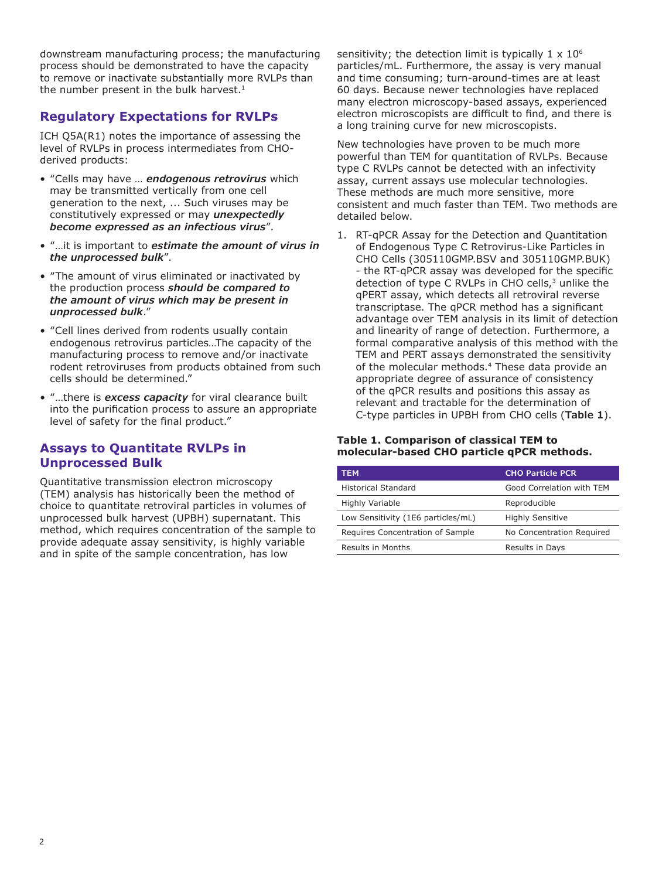downstream manufacturing process; the manufacturing process should be demonstrated to have the capacity to remove or inactivate substantially more RVLPs than the number present in the bulk harvest. $1$ 

## **Regulatory Expectations for RVLPs**

ICH Q5A(R1) notes the importance of assessing the level of RVLPs in process intermediates from CHOderived products:

- "Cells may have … *endogenous retrovirus* which may be transmitted vertically from one cell generation to the next, ... Such viruses may be constitutively expressed or may *unexpectedly become expressed as an infectious virus*".
- "…it is important to *estimate the amount of virus in the unprocessed bulk*".
- "The amount of virus eliminated or inactivated by the production process *should be compared to the amount of virus which may be present in unprocessed bulk*."
- "Cell lines derived from rodents usually contain endogenous retrovirus particles…The capacity of the manufacturing process to remove and/or inactivate rodent retroviruses from products obtained from such cells should be determined."
- "…there is *excess capacity* for viral clearance built into the purification process to assure an appropriate level of safety for the final product."

### **Assays to Quantitate RVLPs in Unprocessed Bulk**

Quantitative transmission electron microscopy (TEM) analysis has historically been the method of choice to quantitate retroviral particles in volumes of unprocessed bulk harvest (UPBH) supernatant. This method, which requires concentration of the sample to provide adequate assay sensitivity, is highly variable and in spite of the sample concentration, has low

sensitivity; the detection limit is typically  $1 \times 10^6$ particles/mL. Furthermore, the assay is very manual and time consuming; turn-around-times are at least 60 days. Because newer technologies have replaced many electron microscopy-based assays, experienced electron microscopists are difficult to find, and there is a long training curve for new microscopists.

New technologies have proven to be much more powerful than TEM for quantitation of RVLPs. Because type C RVLPs cannot be detected with an infectivity assay, current assays use molecular technologies. These methods are much more sensitive, more consistent and much faster than TEM. Two methods are detailed below.

1. RT-qPCR Assay for the Detection and Quantitation of Endogenous Type C Retrovirus-Like Particles in CHO Cells (305110GMP.BSV and 305110GMP.BUK) - the RT-qPCR assay was developed for the specific detection of type C RVLPs in CHO cells,<sup>3</sup> unlike the qPERT assay, which detects all retroviral reverse transcriptase. The qPCR method has a significant advantage over TEM analysis in its limit of detection and linearity of range of detection. Furthermore, a formal comparative analysis of this method with the TEM and PERT assays demonstrated the sensitivity of the molecular methods.<sup>4</sup> These data provide an appropriate degree of assurance of consistency of the qPCR results and positions this assay as relevant and tractable for the determination of C-type particles in UPBH from CHO cells (**Table 1**).

#### **Table 1. Comparison of classical TEM to molecular-based CHO particle qPCR methods.**

| <b>TEM</b>                         | <b>CHO Particle PCR</b>   |
|------------------------------------|---------------------------|
| <b>Historical Standard</b>         | Good Correlation with TEM |
| <b>Highly Variable</b>             | Reproducible              |
| Low Sensitivity (1E6 particles/mL) | <b>Highly Sensitive</b>   |
| Requires Concentration of Sample   | No Concentration Required |
| Results in Months                  | Results in Days           |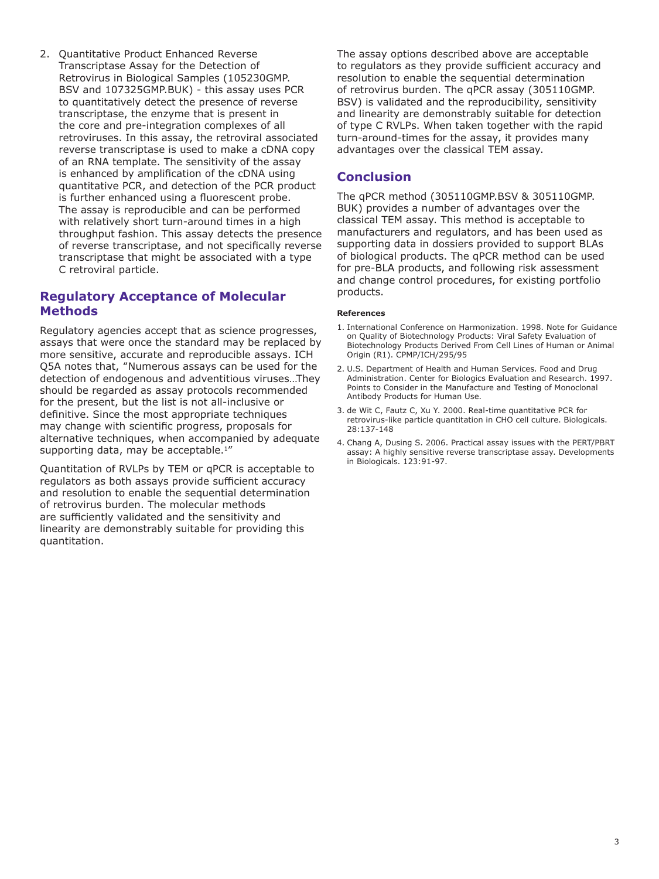2. Quantitative Product Enhanced Reverse Transcriptase Assay for the Detection of Retrovirus in Biological Samples (105230GMP. BSV and 107325GMP.BUK) - this assay uses PCR to quantitatively detect the presence of reverse transcriptase, the enzyme that is present in the core and pre-integration complexes of all retroviruses. In this assay, the retroviral associated reverse transcriptase is used to make a cDNA copy of an RNA template. The sensitivity of the assay is enhanced by amplification of the cDNA using quantitative PCR, and detection of the PCR product is further enhanced using a fluorescent probe. The assay is reproducible and can be performed with relatively short turn-around times in a high throughput fashion. This assay detects the presence of reverse transcriptase, and not specifically reverse transcriptase that might be associated with a type C retroviral particle.

### **Regulatory Acceptance of Molecular Methods**

Regulatory agencies accept that as science progresses, assays that were once the standard may be replaced by more sensitive, accurate and reproducible assays. ICH Q5A notes that, "Numerous assays can be used for the detection of endogenous and adventitious viruses…They should be regarded as assay protocols recommended for the present, but the list is not all-inclusive or definitive. Since the most appropriate techniques may change with scientific progress, proposals for alternative techniques, when accompanied by adequate supporting data, may be acceptable.<sup>1"</sup>

Quantitation of RVLPs by TEM or qPCR is acceptable to regulators as both assays provide sufficient accuracy and resolution to enable the sequential determination of retrovirus burden. The molecular methods are sufficiently validated and the sensitivity and linearity are demonstrably suitable for providing this quantitation.

The assay options described above are acceptable to regulators as they provide sufficient accuracy and resolution to enable the sequential determination of retrovirus burden. The qPCR assay (305110GMP. BSV) is validated and the reproducibility, sensitivity and linearity are demonstrably suitable for detection of type C RVLPs. When taken together with the rapid turn-around-times for the assay, it provides many advantages over the classical TEM assay.

## **Conclusion**

The qPCR method (305110GMP.BSV & 305110GMP. BUK) provides a number of advantages over the classical TEM assay. This method is acceptable to manufacturers and regulators, and has been used as supporting data in dossiers provided to support BLAs of biological products. The qPCR method can be used for pre-BLA products, and following risk assessment and change control procedures, for existing portfolio products.

#### **References**

- 1. International Conference on Harmonization. 1998. Note for Guidance on Quality of Biotechnology Products: Viral Safety Evaluation of Biotechnology Products Derived From Cell Lines of Human or Animal Origin (R1). CPMP/ICH/295/95
- 2. U.S. Department of Health and Human Services. Food and Drug Administration. Center for Biologics Evaluation and Research. 1997. Points to Consider in the Manufacture and Testing of Monoclonal Antibody Products for Human Use.
- 3. de Wit C, Fautz C, Xu Y. 2000. Real-time quantitative PCR for retrovirus-like particle quantitation in CHO cell culture. Biologicals. 28:137-148
- 4. Chang A, Dusing S. 2006. Practical assay issues with the PERT/PBRT assay: A highly sensitive reverse transcriptase assay. Developments in Biologicals. 123:91-97.